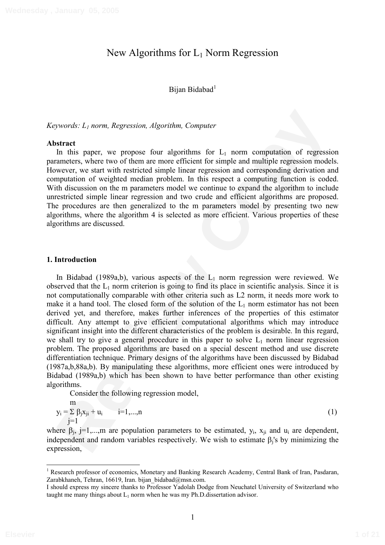# New Algorithms for  $L_1$  Norm Regression

Bijan Bidabad<sup>1</sup>

*Keywords: L1 norm, Regression, Algorithm, Computer* 

#### **Abstract**

In this paper, we propose four algorithms for  $L_1$  norm computation of regression parameters, where two of them are more efficient for simple and multiple regression models. However, we start with restricted simple linear regression and corresponding derivation and computation of weighted median problem. In this respect a computing function is coded. With discussion on the m parameters model we continue to expand the algorithm to include unrestricted simple linear regression and two crude and efficient algorithms are proposed. The procedures are then generalized to the m parameters model by presenting two new algorithms, where the algorithm 4 is selected as more efficient. Various properties of these algorithms are discussed.

#### **1. Introduction**

pyrords:  $L_1$  norm. Regression, Algorithm, Computer<br> **Reviewendom**<br>
In this paper, we propose four algorithms for  $L_1$  norm computation of regression<br>
and this space, where two of them are more efficient to rainle locat In Bidabad (1989a,b), various aspects of the  $L_1$  norm regression were reviewed. We observed that the  $L_1$  norm criterion is going to find its place in scientific analysis. Since it is not computationally comparable with other criteria such as L2 norm, it needs more work to make it a hand tool. The closed form of the solution of the  $L_1$  norm estimator has not been derived yet, and therefore, makes further inferences of the properties of this estimator difficult. Any attempt to give efficient computational algorithms which may introduce significant insight into the different characteristics of the problem is desirable. In this regard, we shall try to give a general procedure in this paper to solve  $L_1$  norm linear regression problem. The proposed algorithms are based on a special descent method and use discrete differentiation technique. Primary designs of the algorithms have been discussed by Bidabad (1987a,b,88a,b). By manipulating these algorithms, more efficient ones were introduced by Bidabad (1989a,b) which has been shown to have better performance than other existing algorithms.

Consider the following regression model,

$$
y_i = \sum_{j=1}^{m} \beta_j x_{ji} + u_i \qquad i=1,...,n
$$
 (1)

where  $\beta_j$ , j=1,...,m are population parameters to be estimated,  $y_i$ ,  $x_{ji}$  and  $u_i$  are dependent, independent and random variables respectively. We wish to estimate  $\beta_j$ 's by minimizing the expression,

Research professor of economics, Monetary and Banking Research Academy, Central Bank of Iran, Pasdaran, Zarabkhaneh, Tehran, 16619, Iran. bijan bidabad@msn.com.

I should express my sincere thanks to Professor Yadolah Dodge from Neuchatel University of Switzerland who taught me many things about  $L_1$  norm when he was my Ph.D.dissertation advisor.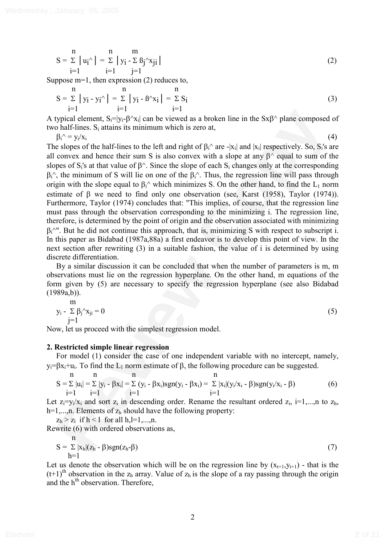$$
S = \sum_{i=1}^{n} |u_i \rangle = \sum_{i=1}^{n} |y_i - \sum_{j=1}^{n} \beta_j \rangle x_{ji}
$$
 (2)

Suppose m=1, then expression (2) reduces to,

$$
S = \sum_{i=1}^{n} |y_i - y_i| = \sum_{i=1}^{n} |y_i - B \cap x_i| = \sum_{i=1}^{n} S_i
$$
 (3)

A typical element,  $S_i = |y_i - \beta^x x_i|$  can be viewed as a broken line in the  $S x \beta^x$  plane composed of two half-lines.  $S_i$  attains its minimum which is zero at,

 $\beta_i^{\wedge} = y_i/x_i$ 

Syria dement, S<sub>i</sub>-Hy-B<sup>-</sup>x<sub>N</sub> can be viewed as a broken line in the SxB<sup>2</sup> plane composed of<br>
hard-lines. S<sub>i</sub> statins its minimum which is zero at,<br>  $\beta^{2}$  and  $\beta^{2}$  graphs of the half-lines to the left and right of  $i^{A} = y_{i}/x_{i}$  (4) The slopes of the half-lines to the left and right of  $\beta_i^{\wedge}$  are -|x<sub>i</sub>| and |x<sub>i</sub>| respectively. So, S<sub>i</sub>'s are all convex and hence their sum S is also convex with a slope at any  $\beta^{\wedge}$  equal to sum of the slopes of S<sub>i</sub>'s at that value of  $\beta^{\wedge}$ . Since the slope of each S<sub>i</sub> changes only at the corresponding  $\beta_i^{\wedge}$ , the minimum of S will lie on one of the  $\beta_i^{\wedge}$ . Thus, the regression line will pass through origin with the slope equal to  $\beta_i^{\wedge}$  which minimizes S. On the other hand, to find the L<sub>1</sub> norm estimate of  $\beta$  we need to find only one observation (see, Karst (1958), Taylor (1974)). Furthermore, Taylor (1974) concludes that: "This implies, of course, that the regression line must pass through the observation corresponding to the minimizing i. The regression line, therefore, is determined by the point of origin and the observation associated with minimizing  $\beta_i^{\wedge}$ ". But he did not continue this approach, that is, minimizing S with respect to subscript i. In this paper as Bidabad (1987a,88a) a first endeavor is to develop this point of view. In the next section after rewriting (3) in a suitable fashion, the value of i is determined by using discrete differentiation.

By a similar discussion it can be concluded that when the number of parameters is m, m observations must lie on the regression hyperplane. On the other hand, m equations of the form given by (5) are necessary to specify the regression hyperplane (see also Bidabad  $(1989a,b)$ ).

$$
y_i - \sum_{j=1}^{m} \beta_j^2 x_{ji} = 0
$$
 (5)

Now, let us proceed with the simplest regression model.

#### **2. Restricted simple linear regression**

For model (1) consider the case of one independent variable with no intercept, namely,  $y_i = \beta x_i + u_i$ . To find the  $L_1$  norm estimate of  $\beta$ , the following procedure can be suggested.

$$
\begin{array}{l}\nn & n \\
S = \sum |u_i| = \sum |y_i - \beta x_i| = \sum (y_i - \beta x_i) \text{sgn}(y_i - \beta x_i) = \sum |x_i|(y_i/x_i - \beta) \text{sgn}(y_i/x_i - \beta) \\
i = 1\n\end{array} \tag{6}
$$

Let  $z_i = y_i/x_i$  and sort  $z_i$  in descending order. Rename the resultant ordered  $z_i$ ,  $i=1,...,n$  to  $z_h$ ,  $h=1,...,n$ . Elements of  $z<sub>h</sub>$  should have the following property:

 $z_h > z_l$  if  $h < l$  for all  $h,l=1,...,n$ .

n

Rewrite (6) with ordered observations as,

$$
S = \sum_{h=1}^{n} |x_h|(z_h - \beta)sgn(z_h - \beta)
$$
 (7)

Let us denote the observation which will be on the regression line by  $(x_{t+1}, y_{t+1})$  - that is the  $(t+1)$ <sup>th</sup> observation in the z<sub>h</sub> array. Value of z<sub>h</sub> is the slope of a ray passing through the origin and the h<sup>th</sup> observation. Therefore,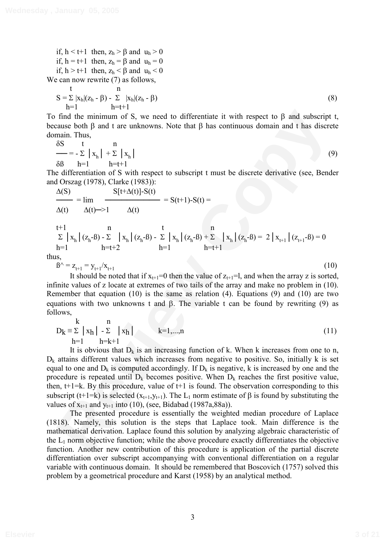if,  $h < t+1$  then,  $z_h > \beta$  and  $u_h > 0$ if,  $h = t+1$  then,  $z_h = \beta$  and  $u_h = 0$ if,  $h > t+1$  then,  $z_h < \beta$  and  $u_h < 0$ We can now rewrite  $(7)$  as follows,

$$
S = \sum_{h=1}^{t} |x_h|(z_h - \beta) - \sum_{h=t+1}^{t} |x_h|(z_h - \beta)
$$
\n(8)

To find the minimum of S, we need to differentiate it with respect to  $\beta$  and subscript t, because both  $\beta$  and t are unknowns. Note that  $\beta$  has continuous domain and t has discrete domain. Thus,

$$
\frac{\delta S}{\delta B} = -\sum_{h=1}^{\infty} |x_h| + \sum_{h=1}^{\infty} |x_h|
$$
(9)

The differentiation of S with respect to subscript t must be discrete derivative (see, Bender and Orszag (1978), Clarke (1983)):

$$
\frac{\Delta(S)}{\Delta(t)} = \lim_{\Delta(t) \to 1} \frac{S[t + \Delta(t)] - S(t)}{\Delta(t)} = S(t+1) - S(t) =
$$
\n
$$
t+1 \qquad n \qquad t \qquad n
$$
\n
$$
\Sigma |x_h| (z_h - B) - \Sigma |x_h| (z_h - B) - \Sigma |x_h| (z_h - B) + \Sigma |x_h| (z_h - B) = 2 |x_{t+1}| (z_{t+1} - B) = 0
$$

 $h=1$   $h=t+2$   $h=1$   $h=t+1$ 

thus,

$$
\beta^{\wedge} = z_{t+1} = y_{t+1}/x_{t+1} \tag{10}
$$

It should be noted that if  $x_{t+1}=0$  then the value of  $z_{t+1}=l$ , and when the array z is sorted, infinite values of z locate at extremes of two tails of the array and make no problem in (10). Remember that equation (10) is the same as relation (4). Equations (9) and (10) are two equations with two unknowns t and  $\beta$ . The variable t can be found by rewriting (9) as follows,

$$
D_{k} \equiv \sum_{h=1}^{k} |x_{h}| - \sum_{h=k+1}^{n} |x_{h}| \qquad k=1,...,n
$$
 (11)

Find the minimum of S, we need to differentiate it with respect to β and subscript t,<br>sums, both β and ture unknowns. Note that β has continuous domain and t has discrete<br>hain. Thus,<br>
nain. Thus,<br>  $\frac{85}{4}$  h = 1<br>  $\frac{$ It is obvious that  $D_k$  is an increasing function of k. When k increases from one to n,  $D_k$  attains different values which increases from negative to positive. So, initially k is set equal to one and  $D_k$  is computed accordingly. If  $D_k$  is negative, k is increased by one and the procedure is repeated until  $D_k$  becomes positive. When  $D_k$  reaches the first positive value, then,  $t+1=k$ . By this procedure, value of  $t+1$  is found. The observation corresponding to this subscript (t+1=k) is selected  $(x_{t+1}, y_{t+1})$ . The L<sub>1</sub> norm estimate of  $\beta$  is found by substituting the values of  $x_{t+1}$  and  $y_{t+1}$  into (10), (see, Bidabad (1987a, 88a)).

The presented procedure is essentially the weighted median procedure of Laplace (1818). Namely, this solution is the steps that Laplace took. Main difference is the mathematical derivation. Laplace found this solution by analyzing algebraic characteristic of the  $L_1$  norm objective function; while the above procedure exactly differentiates the objective function. Another new contribution of this procedure is application of the partial discrete differentiation over subscript accompanying with conventional differentiation on a regular variable with continuous domain. It should be remembered that Boscovich (1757) solved this problem by a geometrical procedure and Karst (1958) by an analytical method.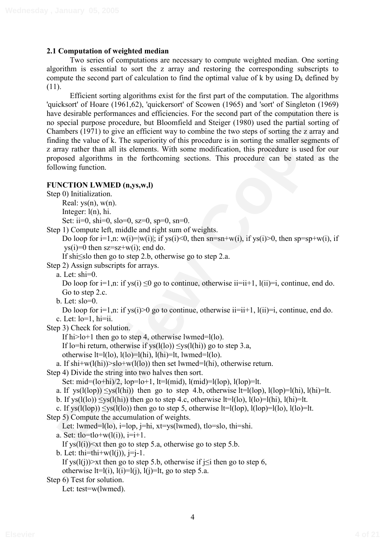# **2.1 Computation of weighted median**

Two series of computations are necessary to compute weighted median. One sorting algorithm is essential to sort the z array and restoring the corresponding subscripts to compute the second part of calculation to find the optimal value of k by using  $D_k$  defined by (11).

**Registed performances and efficiencies**. For the second part of the computation there is used to special purpos procedure, but Bloomfield and Skeiger (1980) used the partial sorting to<br>ambers (1971) to give an efficient Efficient sorting algorithms exist for the first part of the computation. The algorithms 'quicksort' of Hoare (1961,62), 'quickersort' of Scowen (1965) and 'sort' of Singleton (1969) have desirable performances and efficiencies. For the second part of the computation there is no special purpose procedure, but Bloomfield and Steiger (1980) used the partial sorting of Chambers (1971) to give an efficient way to combine the two steps of sorting the z array and finding the value of k. The superiority of this procedure is in sorting the smaller segments of z array rather than all its elements. With some modification, this procedure is used for our proposed algorithms in the forthcoming sections. This procedure can be stated as the following function.

## **FUNCTION LWMED (n,ys,w,l)**

Step 0) Initialization.

Real:  $vs(n)$ ,  $w(n)$ .

Integer: l(n), hi.

Set: ii=0, shi=0, slo=0, sz=0, sp=0, sn=0.

Step 1) Compute left, middle and right sum of weights.

Do loop for  $i=1,n$ :  $w(i)=|w(i)|$ ; if  $vs(i) \le 0$ , then  $sn=sn+w(i)$ , if  $vs(i) \ge 0$ , then  $sp=sp+w(i)$ , if  $vs(i)=0$  then  $sz=sz+w(i)$ ; end do.

If shi $\leq$ slo then go to step 2.b, otherwise go to step 2.a.

Step 2) Assign subscripts for arrays.

a. Let: shi=0.

Do loop for  $i=1,n$ : if ys(i) <0 go to continue, otherwise  $ii=i+1$ ,  $l(ii)=i$ , continue, end do. Go to step 2.c.

b. Let: slo=0.

Do loop for  $i=1, n$ : if ys( $i>0$  go to continue, otherwise  $i=i+1, l(i) = i$ , continue, end do. c. Let:  $lo=1$ ,  $hi=ii$ .

Step 3) Check for solution.

If hi $>l$ o+1 then go to step 4, otherwise lwmed= $l(lo)$ .

If lo=hi return, otherwise if  $vs(1(10)) \leq vs(1(hi))$  go to step 3.a,

otherwise  $lt=l(lo)$ ,  $l(lo)=l(hi)$ ,  $l(hi)=lt$ , lwmed= $l(lo)$ .

a. If shi+w(l(hi))>slo+w(l(lo)) then set lwmed=l(hi), otherwise return.

Step 4) Divide the string into two halves then sort.

```
Set: mid=(lo+hi)/2, lop=lo+1, lt=l (mid), l (mid)=l (lop), l (lop)=lt.
```

```
a. If ys(l(log)) \langle ys(l(hi)) then go to step 4.b, otherwise lt=l(log), l(log)=l(hi), l(hi)=lt.
```

```
b. If ys(l(lo)) \leqys(l(hi)) then go to step 4.c, otherwise lt=l(lo), l(lo)=l(hi), l(hi)=lt.
```

```
c. If ys(l(lop)) \leqys(l(lo)) then go to step 5, otherwise lt=l(lop), l(lop)=l(lo), l(lo)=lt.
```
Step 5) Compute the accumulation of weights.

```
Let: lwmed=l(lo), i=lop, i=hi, xt=ys(lwmed), tlo=slo, thi=shi.
```
a. Set:  $tlo = tlo + w(l(i))$ ,  $i = i + 1$ .

If  $ys(l(i)) \leq xt$  then go to step 5.a, otherwise go to step 5.b.

b. Let: thi=thi+ $w(l(i))$ , j=j-1.

If ys(l(j))>xt then go to step 5.b, otherwise if  $i\leq i$  then go to step 6, otherwise  $lt=l(i)$ ,  $l(i)=l(i)$ ,  $l(i)=lt$ , go to step 5.a.

Step 6) Test for solution.

Let: test=w(lwmed).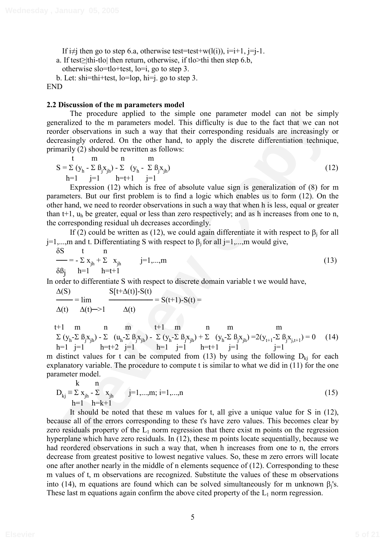If  $i\neq j$  then go to step 6.a, otherwise test=test+w(l(i)),  $i=i+1$ ,  $j=j-1$ .

a. If test $\geq$ |thi-tlo| then return, otherwise, if tlo>thi then step 6.b,

otherwise slo=tlo+test, lo=i, go to step 3.

b. Let: shi=thi+test, lo=lop, hi=j. go to step 3.

END

#### **2.2 Discussion of the m parameters model**

The procedure applied to the simple one parameter model can not be simply generalized to the m parameters model. This difficulty is due to the fact that we can not reorder observations in such a way that their corresponding residuals are increasingly or decreasingly ordered. On the other hand, to apply the discrete differentiation technique, primarily (2) should be rewritten as follows:

$$
s = \sum (y_h - \sum \beta_j x_{jh}) - \sum (y_h - \sum \beta_j x_{jh})
$$
  
h=1 j=1 h= t+1 j=1 (12)

Expression (12) which is free of absolute value sign is generalization of (8) for m parameters. But our first problem is to find a logic which enables us to form (12). On the other hand, we need to reorder observations in such a way that when h is less, equal or greater than t+1,  $u_h$  be greater, equal or less than zero respectively; and as h increases from one to n, the corresponding residual uh decreases accordingly.

If (2) could be written as (12), we could again differentiate it with respect to  $\beta_i$  for all  $j=1,...,m$  and t. Differentiating S with respect to  $\beta_j$  for all  $j=1,...,m$  would give,

$$
\delta S \t n = -\sum x_{jh} + \sum x_{jh} \t j = 1,...,m
$$
  
\n
$$
\delta B_j \t h = 1 \t h = t+1
$$
 (13)

In order to differentiate S with respect to discrete domain variable t we would have,

$$
\frac{\Delta(S)}{\Delta(t)} = \lim_{\Delta(t) \to 1} \frac{S[t + \Delta(t)] - S(t)}{\Delta(t)} = S(t+1) - S(t) =
$$

t+1 m n m t+1 m n m m  $\Sigma (y_h - \Sigma \beta_j x_{jh}) - \Sigma (u_h - \Sigma \beta_j x_{jh}) - \Sigma (y_h - \Sigma \beta_j x_{jh}) + \Sigma (y_h - \Sigma \beta_j x_{jh}) = 2(y_{t+1} - \Sigma \beta_j x_{j,t+1}) = 0$  (14) h=1 j=1 h=t+2 j=1 h=1 j=1 h=t+1 j=1 j=1

m distinct values for t can be computed from (13) by using the following  $D_{ki}$  for each explanatory variable. The procedure to compute t is similar to what we did in (11) for the one parameter model.

$$
D_{kj} \equiv \sum_{j}^{k} x_{jh} - \sum_{j}^{k} x_{jh} \qquad j=1,...,m; i=1,...,n
$$
\n
$$
h=1 \qquad h=k+1
$$
\n(15)

The procedure applied to the simply on equalitation that imply<br>contained to the myanistics much a way that their corresponding residuals are increasingly ordered observations in such a way that their corresponding residua It should be noted that these m values for t, all give a unique value for S in (12), because all of the errors corresponding to these t's have zero values. This becomes clear by zero residuals property of the  $L_1$  norm regression that there exist m points on the regression hyperplane which have zero residuals. In (12), these m points locate sequentially, because we had reordered observations in such a way that, when h increases from one to n, the errors decrease from greatest positive to lowest negative values. So, these m zero errors will locate one after another nearly in the middle of n elements sequence of (12). Corresponding to these m values of t, m observations are recognized. Substitute the values of these m observations into (14), m equations are found which can be solved simultaneously for m unknown  $\beta_j$ 's. These last m equations again confirm the above cited property of the  $L_1$  norm regression.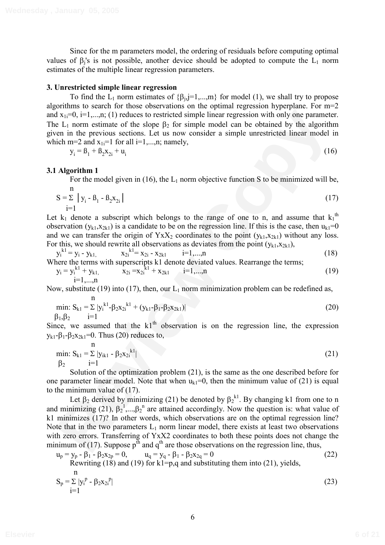Since for the m parameters model, the ordering of residuals before computing optimal values of  $\beta_j$ 's is not possible, another device should be adopted to compute the  $L_1$  norm estimates of the multiple linear regression parameters.

#### **3. Unrestricted simple linear regression**

To find the L<sub>1</sub> norm estimates of  $\{\beta_{i,j}=1,...,m\}$  for model (1), we shall try to propose algorithms to search for those observations on the optimal regression hyperplane. For m=2 and  $x_{1i}=0$ ,  $i=1,...,n$ ; (1) reduces to restricted simple linear regression with only one parameter. The  $L_1$  norm estimate of the slope  $\beta_2$  for simple model can be obtained by the algorithm given in the previous sections. Let us now consider a simple unrestricted linear model in which m=2 and  $x_{1i}=1$  for all i=1,...,n; namely,

$$
y_i = B_1 + B_2 x_{2i} + u_i
$$
 (16)

#### **3.1 Algorithm 1**

For the model given in (16), the  $L_1$  norm objective function S to be minimized will be, n

$$
S = \sum_{i=1}^{\infty} |y_i - B_1 - B_2 x_{2i}|
$$
 (17)

Let  $k_1$  denote a subscript which belongs to the range of one to n, and assume that  $k_1$ <sup>th</sup> observation  $(y_{k1},x_{2k1})$  is a candidate to be on the regression line. If this is the case, then  $u_{k1}=0$ and we can transfer the origin of  $Y_1X_2$  coordinates to the point  $(y_{k1},x_{2k1})$  without any loss. For this, we should rewrite all observations as deviates from the point  $(y_{k1},x_{2k1})$ ,

$$
y_i^{k1} = y_i - y_{k1}, \qquad x_{2i}^{k1} = x_{2i} - x_{2kl} \qquad i=1,...,n
$$
 (18)

Where the terms with superscripts 
$$
k1
$$
 denote deviated values. Rearrange the terms;

$$
y_i = y_i^{k1} + y_{k1}, \qquad x_{2i} = x_{2i}^{k1} + x_{2k1} \qquad i=1,...,n
$$
 (19)

Now, substitute (19) into (17), then, our  $L_1$  norm minimization problem can be redefined as,

$$
\min: S_{k1} = \sum |y_i^{k1} - \beta_2 x_{2i}^{k1} + (y_{k1} - \beta_1 - \beta_2 x_{2k1})|
$$
\n(20)

Since, we assumed that the  $k1<sup>th</sup>$  observation is on the regression line, the expression  $y_{k1} - \beta_1 - \beta_2 x_{2k1} = 0$ . Thus (20) reduces to,

$$
\min_{\beta_2} S_{k1} = \sum_{i=1}^{n} |y_{ik1} - \beta_2 x_{2i}^{k1}|
$$
 (21)

Solution of the optimization problem (21), is the same as the one described before for one parameter linear model. Note that when  $u_{kl}=0$ , then the minimum value of (21) is equal to the minimum value of (17).

I  $x_{11} = 0$ ,  $\sin x_{11} = 0$ ,  $\sin x_{12} = 0$ ,  $\sin x_{13} = 0$  and  $\sin x_{14} = 0$  and  $\sin x_{14} = 0$  and  $\sin x_{14} = 0$  and  $\sin x_{14} = 0$  and  $\sin x_{14} = 0$  and  $\sin x_{14} = 0$  and  $\sin x_{14} = 0$  and  $\sin x_{14} = 0$  and  $\sin x_{14} = 0$  and  $\sin x_{14} =$ Let  $\beta_2$  derived by minimizing (21) be denoted by  $\beta_2^{k_1}$ . By changing k1 from one to n and minimizing (21),  $\beta_2^{-1},...,\beta_2^{-n}$  are attained accordingly. Now the question is: what value of k1 minimizes (17)? In other words, which observations are on the optimal regression line? Note that in the two parameters  $L_1$  norm linear model, there exists at least two observations with zero errors. Transferring of YxX2 coordinates to both these points does not change the minimum of (17). Suppose  $p^{\text{th}}$  and  $q^{\text{th}}$  are those observations on the regression line, thus,

$$
u_p = y_p - \beta_1 - \beta_2 x_{2p} = 0, \qquad u_q = y_q - \beta_1 - \beta_2 x_{2q} = 0
$$
  
Rewriting (18) and (19) for k1=p,q and substituting them into (21), yields,  
n  

$$
S = \sum |x_p|^p \cdot \beta_1 x_p^p
$$
 (22)

$$
S_p = \sum |y_i^p - \beta_2 x_{2i}^p|
$$
\n(23)

6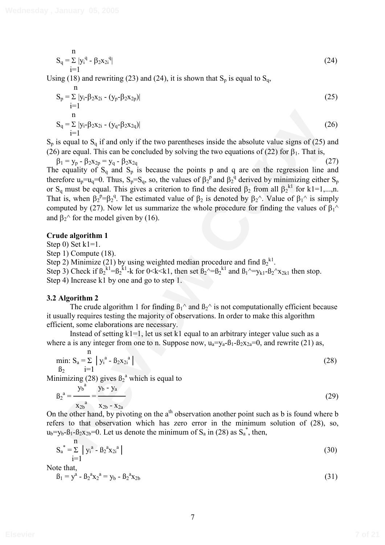$$
S_q = \sum_{i=1}^{n} |y_i^q - \beta_2 x_{2i}^q|
$$
 (24)

Using (18) and rewriting (23) and (24), it is shown that  $S_p$  is equal to  $S_q$ ,

$$
S_p = \sum_{i=1}^{n} |y_i - \beta_2 x_{2i} - (y_p - \beta_2 x_{2p})|
$$
  
\n
$$
S_q = \sum_{i=1}^{n} |y_i - \beta_2 x_{2i} - (y_q - \beta_2 x_{2q})|
$$
\n(26)

 $S_p$  is equal to  $S_q$  if and only if the two parentheses inside the absolute value signs of (25) and (26) are equal. This can be concluded by solving the two equations of (22) for  $\beta_1$ . That is,

 $\beta_1 = y_p - \beta_2 x_{2p} = y_q - \beta$  $2X_{2q}$  (27)

**R**<br> **R** =  $\sum y_1 P_2 x_2 - (y_1 P_2 x_2 x_2)$ <br> **R** =  $\sum y_1 P_2 x_2 - (y_2 P_2 x_2 x_2)$ <br> **R** =  $\sum y_1 P_2 x_2 - y_1 - \sum y_2 x_2$ <br> **R** example 1. This can be concluded by solving the two equations of (22) for  $\beta$ . That is,<br>  $\beta_1 - y_1 - \beta_2 x_$ The equality of  $S_q$  and  $S_p$  is because the points p and q are on the regression line and therefore  $u_p = u_q = 0$ . Thus,  $S_p = S_q$ , so, the values of  $\beta_2^p$  and  $\beta_2^q$  derived by minimizing either  $S_p$ or S<sub>q</sub> must be equal. This gives a criterion to find the desired  $\beta_2$  from all  $\beta_2^{k_1}$  for k1=1,...,n. That is, when  $\beta_2^{\ \ p} = \beta_2^{\ q}$ . The estimated value of  $\beta_2$  is denoted by  $\beta_2^{\ \wedge}$ . Value of  $\beta_1^{\ \wedge}$  is simply computed by (27). Now let us summarize the whole procedure for finding the values of  $\beta_1$ <sup> $\land$ </sup> and  $\beta_2^{\wedge}$  for the model given by (16).

### **Crude algorithm 1**

Step  $0$ ) Set  $k1=1$ .

Step 1) Compute (18).

Step 2) Minimize (21) by using weighted median procedure and find  $\beta_2^{\text{kl}}$ .

Step 3) Check if  $\beta_2^{k_1} = \beta_2^{k_1}$ -k for 0<k<k1, then set  $\beta_2$ ^= $\beta_2^{k_1}$  and  $\beta_1$ ^=y<sub>k1</sub>- $\beta_2$ ^x<sub>2k1</sub> then stop. Step 4) Increase k1 by one and go to step 1.

## **3.2 Algorithm 2**

The crude algorithm 1 for finding  $B_1^{\wedge}$  and  $B_2^{\wedge}$  is not computationally efficient because it usually requires testing the majority of observations. In order to make this algorithm efficient, some elaborations are necessary.

Instead of setting  $k1=1$ , let us set k1 equal to an arbitrary integer value such as a where a is any integer from one to n. Suppose now,  $u_a = v_a - \beta_1 - \beta_2 x_{2a} = 0$ , and rewrite (21) as,

min: 
$$
S_a = \sum_{i=1}^{n} |y_i^a - B_2 x_{2i}^a|
$$
 (28)

Minimizing (28) gives  $\beta_2^a$  which is equal to

$$
\beta_2^a = \frac{y_b^a}{x_{2b}} = \frac{y_b - y_a}{x_{2b} - x_{2a}}
$$
 (29)

On the other hand, by pivoting on the  $a<sup>th</sup>$  observation another point such as b is found where b refers to that observation which has zero error in the minimum solution of (28), so,  $u_b = y_b - \beta_1 - \beta_2 x_{2b} = 0$ . Let us denote the minimum of S<sub>a</sub> in (28) as S<sub>a</sub><sup>\*</sup>, then,

$$
S_a^* = \sum_{i=1}^n |y_i^a - B_2^a x_{2i}^a|
$$
 (30)

Note that,

$$
B_1 = y^a - B_2^a x_2^a = y_b - B_2^a x_{2b}
$$
 (31)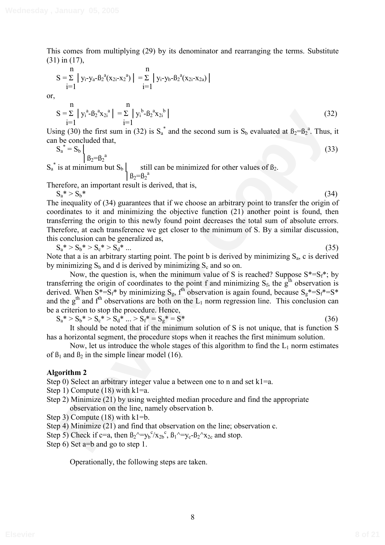This comes from multiplying (29) by its denominator and rearranging the terms. Substitute (31) in (17),

$$
S = \sum_{i=1}^{n} |y_i - y_a - \beta_2^a (x_{2i} - x_2^a)| = \sum_{i=1}^{n} |y_i - y_b - \beta_2^a (x_{2i} - x_{2a})|
$$
  
n

or,

$$
S = \sum_{i=1}^{n} |y_i^a - B_2^a x_{2i}^a| = \sum_{i=1}^{n} |y_i^b - B_2^a x_{2i}^b|
$$
\n(32)

Using (30) the first sum in (32) is  $S_a^*$  and the second sum is  $S_b$  evaluated at  $B_2 = B_2^*$ . Thus, it can be concluded that,

$$
S_a^* = S_b \bigg|_{\beta_2 = \beta_2^a}
$$
 (33)

 $S_a^*$  is at minimum but  $S_b$  still can be minimized for other values of  $\beta_2$ .  $\int B_2 = B_2^a$ 

Therefore, an important result is derived, that is,

(32)<br>
Sending (30) the first sum in (32) is S<sub>n</sub><sup>3</sup> and the second sum is S<sub>h</sub> evaluated at  $B_2 = 6p^4$ . Thus, it<br>
is any (30) the first sum in (32) is S<sub>n</sub><sup>3</sup> and the second sum is S<sub>h</sub> evaluated at  $B_2 = 6p^4$ . Thus, it  $S_a^* > S_b^*$  (34) The inequality of (34) guarantees that if we choose an arbitrary point to transfer the origin of coordinates to it and minimizing the objective function (21) another point is found, then transferring the origin to this newly found point decreases the total sum of absolute errors. Therefore, at each transference we get closer to the minimum of S. By a similar discussion, this conclusion can be generalized as,

$$
S_a^* > S_b^* > S_c^* > S_d^* \dots \tag{35}
$$

Note that a is an arbitrary starting point. The point b is derived by minimizing  $S_a$ , c is derived by minimizing  $S_b$  and d is derived by minimizing  $S_c$  and so on.

Now, the question is, when the minimum value of S is reached? Suppose  $S^* = S_f^*$ ; by transferring the origin of coordinates to the point f and minimizing  $S_f$ , the  $g<sup>th</sup>$  observation is derived. When  $S^* = S_f^*$  by minimizing  $S_g$ ,  $f^{\text{th}}$  observation is again found, because  $S_g^* = S_f^* = S^*$ and the  $g<sup>th</sup>$  and  $f<sup>th</sup>$  observations are both on the  $L_1$  norm regression line. This conclusion can be a criterion to stop the procedure. Hence,

$$
S_a^* > S_b^* > S_c^* > S_d^* \dots > S_f^* = S_g^* = S^* \tag{36}
$$

It should be noted that if the minimum solution of S is not unique, that is function S has a horizontal segment, the procedure stops when it reaches the first minimum solution.

Now, let us introduce the whole stages of this algorithm to find the  $L_1$  norm estimates of  $\beta_1$  and  $\beta_2$  in the simple linear model (16).

## **Algorithm 2**

Step 0) Select an arbitrary integer value a between one to n and set  $k1=a$ .

- Step 1) Compute (18) with  $k1=a$ .
- Step 2) Minimize (21) by using weighted median procedure and find the appropriate observation on the line, namely observation b.
- Step 3) Compute (18) with k1=b.
- Step 4) Minimize (21) and find that observation on the line; observation c.
- Step 5) Check if c=a, then  $B_2$ <sup> $\sim$ </sup>= $y_b$ <sup>c</sup> $\frac{x_{2b}^c}{B_1}$ ,  $B_1$  $\sim$ = $y_c$ - $B_2$  $\sim$  $x_{2c}$  and stop.
- Step 6) Set a=b and go to step 1.

Operationally, the following steps are taken.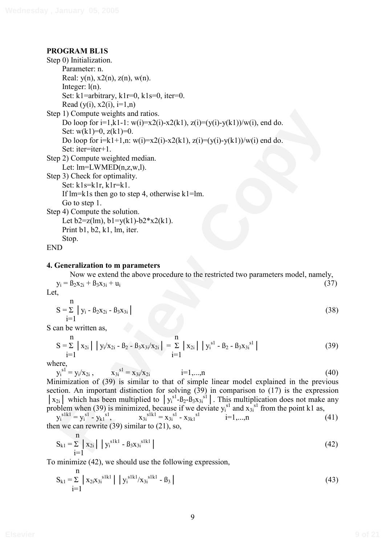# **PROGRAM BL1S**

```
p 1) Compute weights and ratios.<br>
Do loop for i=1, k, 1-i, w(i)=x2(k, 1), z(i)=(y(i)-y(k))/w(i), end do.<br>
Set: w(k, 1)-0, g(k) = w(i), z(k) = 0.<br>
Set: k = -i e^{-k(k+1)}, w_i(i) = x2(i) - x2(k, 1), z(i) = (y(i) - y(k))/w(i) end do.<br>
Set: i.e^{-i} = -i e^{-k(k+Step 0) Initialization. 
      Parameter: n. 
      Real: y(n), x2(n), z(n), w(n).
      Integer: l(n).
      Set: k1=arbitrary, k1r=0, k1s=0, iter=0.
      Read (y(i), x2(i), i=1, n)Step 1) Compute weights and ratios. 
      Do loop for i=1, k-1: w(i)=x^2(i)-x^2(k-1), z(i)=(y(i)-y(k-1))/w(i), end do.
      Set: w(k1)=0, z(k1)=0.
      Do loop for i=k1+1, n: w(i)=x2(i)-x2(k1), z(i)=(v(i)-v(k1))/w(i) end do.
      Set: iter=iter+1. 
Step 2) Compute weighted median. 
      Let: lm = LWMED(n,z,w,l).
Step 3) Check for optimality. 
      Set: k1s=k1r, k1r=k1. 
      If lm=kls then go to step 4, otherwise kl=lm.
      Go to step 1. 
Step 4) Compute the solution. 
      Let b2 = z(lm), b1 = y(k1) - b2*x2(k1).
      Print b1, b2, k1, lm, iter. 
      Stop.
```
END

## **4. Generalization to m parameters**

Now we extend the above procedure to the restricted two parameters model, namely,  $y_i = B_2x_{2i} + B_3x_{3i} + u_i$  (37)

Let,

$$
S = \sum_{i=1}^{n} |y_i - \beta_2 x_{2i} - \beta_3 x_{3i}|
$$
 (38)

S can be written as,

$$
S = \sum_{i=1}^{n} |x_{2i}| |y_i/x_{2i} - B_2 - B_3x_{3i}/x_{2i}| = \sum_{i=1}^{n} |x_{2i}| |y_i^{s1} - B_2 - B_3x_{3i}^{s1}|
$$
(39)

where,

 $i=1,...,n$  (40)

 $y_i^{s1} = y_i/x_{2i}$ ,  $x_{3i}^{s1}$ Minimization of (39) is similar to that of simple linear model explained in the previous section. An important distinction for solving (39) in comparison to (17) is the expression  $\vert x_{2i}\vert$  which has been multiplied to  $\vert y_i^{sl} - B_2 - B_3x_{3i}^{sl}\vert$ . This multiplication does not make any problem when (39) is minimized, because if we deviate  $y_i^{s_1}$  and  $x_{3i}^{s_1}$  from the point k1 as,

 $y_i^{\text{slk1}} = y_i^{\text{sl}} - y_{k1}^{\text{sl}}$  $x_{3i}^{s1k1} = x_{3i}^{s1} - x_{3k1}^{s1}$  i=1,...,n (41) then we can rewrite  $(39)$  similar to  $(21)$ , so,

$$
S_{k1} = \sum_{i=1}^{n} |x_{2i}| |y_i^{\text{slk1}} - B_3 x_{3i}^{\text{slk1}} | \qquad (42)
$$

To minimize (42), we should use the following expression,

$$
S_{k1} = \sum_{i=1}^{n} |x_{2i}x_{3i}^{s1k1}| |y_i^{s1k1}/x_{3i}^{s1k1} - B_3|
$$
\n(43)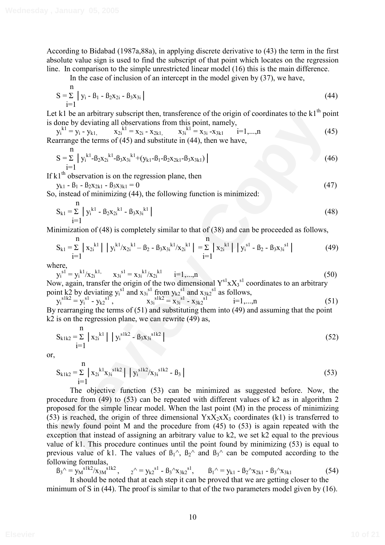According to Bidabad (1987a,88a), in applying discrete derivative to (43) the term in the first absolute value sign is used to find the subscript of that point which locates on the regression line. In comparison to the simple unrestricted linear model (16) this is the main difference.

In the case of inclusion of an intercept in the model given by  $(37)$ , we have,

$$
S = \sum_{i=1}^{n} |y_i - B_1 - B_2 x_{2i} - B_3 x_{3i}|
$$
\n(44)

Let k1 be an arbitrary subscript then, transference of the origin of coordinates to the  $k1<sup>th</sup>$  point is done by deviating all observations from this point, namely,

 $y_i^{k1} = y_i - y_{k1}$ ,  $x_{2i}$  $x_{2i} = x_{2i} - x_{2k1}$ ,  $x_{3i}^{k1} = x_{3i} - x_{3k1}$  i=1,...,n (45) Rearrange the terms of (45) and substitute in (44), then we have,

$$
S = \sum_{i=1}^{n} |y_i^{k1} - \beta_2 x_{2i}^{k1} - \beta_3 x_{3i}^{k1} + (y_{k1} - \beta_1 - \beta_2 x_{2k1} - \beta_3 x_{3k1})|
$$
\n(46)

If  $k1<sup>th</sup>$  observation is on the regression plane, then

$$
y_{k1} - B_1 - B_2 x_{2k1} - B_3 x_{3k1} = 0
$$
\n(47)

So, instead of minimizing (44), the following function is minimized:

$$
S_{k1} = \sum_{i=1}^{n} |y_i^{k1} - \beta_2 x_{2i}^{k1} - \beta_3 x_{3i}^{k1}|
$$
\n(48)

Minimization of (48) is completely similar to that of (38) and can be proceeded as follows,

$$
S_{k1} = \sum_{i=1}^{n} |x_{2i}^{k1}| |y_i^{k1} / x_{2i}^{k1} - B_2 - B_3 x_{3i}^{k1} / x_{2i}^{k1} | = \sum_{i=1}^{n} |x_{2i}^{k1}| |y_i^{s1} - B_2 - B_3 x_{3i}^{s1} |
$$
 (49)

where,

n

$$
y_i^{s1} = y_i^{k1}/x_{2i}^{k1}, \t x_{3i}^{s1} = x_{3i}^{k1}/x_{2i}^{k1} \t i=1,...,n
$$
  
\nNow, again, transfer the origin of the two dimensional  $Y^{s1} \times X_3^{s1}$  coordinates to an arbitrary

point k2 by deviating 
$$
y_i^{s_1}
$$
 and  $x_{3i}^{s_1}$  from  $y_{k2}^{s_1}$  and  $x_{3k2}^{s_1}$  as follows,  
\n
$$
y_i^{s1k2} = y_i^{s1} - y_{k2}^{s1}, \qquad x_{3i}^{s1k2} = x_{3i}^{s1} - x_{3k2}^{s1}
$$
\n
$$
y_i^{s1k2} = x_{3i}^{s1} - x_{3k2}^{s1}
$$
\n
$$
= 1,...,n
$$
\nBy rearranging the terms of (51) and substituting them into (49) and assuming that the point

By rearranging the terms of (51) and substituting them into (49) and assuming that the point k2 is on the regression plane, we can rewrite (49) as,

$$
S_{k1k2} = \sum_{i=1}^{n} |x_{2i}^{k1}| |y_i^{s1k2} - B_3x_{3i}^{s1k2}|
$$
 (52)

or,

$$
S_{k1k2} = \sum_{i=1}^{n} |x_{2i}^{k1}x_{3i}^{s1k2}| |y_i^{s1k2}/x_{3i}^{s1k2} - B_3 |
$$
 (53)

**EV** he has arbitrary subscript then, transference of the origin of coordinates to the k<sup>1th</sup> point<br>
blone by deviating all observations from this point, namely,<br>  $y_x^{k+1} = y_1 \cdot y_{k+1}$ ,  $x_{k+1} = x_{k+2} \cdot x_{k+1}$ ,  $x_{k+1} = x_{$ The objective function (53) can be minimized as suggested before. Now, the procedure from (49) to (53) can be repeated with different values of k2 as in algorithm 2 proposed for the simple linear model. When the last point (M) in the process of minimizing (53) is reached, the origin of three dimensional  $Y_1X_2X_3$  coordinates (k1) is transferred to this newly found point M and the procedure from (45) to (53) is again repeated with the exception that instead of assigning an arbitrary value to k2, we set k2 equal to the previous value of k1. This procedure continues until the point found by minimizing (53) is equal to previous value of k1. The values of  $B_1^{\wedge}$ ,  $B_2^{\wedge}$  and  $B_3^{\wedge}$  can be computed according to the following formulas,

 $B_3^{\wedge} = y_M^{s1k2}/x_{3M}^{s1k2},$   $2^{\wedge} = y_{k2}^{s1} - B_3^{\wedge}x_{3k2}^{s1},$   $B_1^{\wedge} = y_{k1} - B_2^{\wedge}x_{2k1} - B_3^{\wedge}x_{3k1}$  (54) It should be noted that at each step it can be proved that we are getting closer to the

minimum of S in (44). The proof is similar to that of the two parameters model given by (16).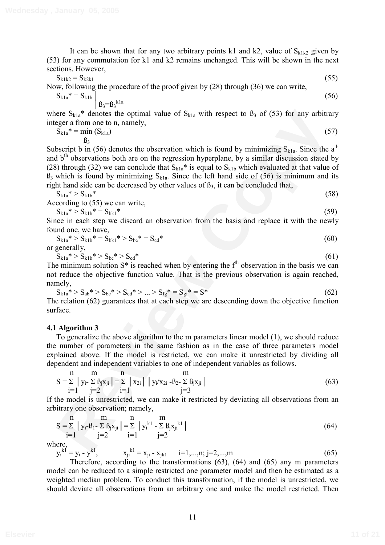It can be shown that for any two arbitrary points k1 and k2, value of  $S_{k1k2}$  given by (53) for any commutation for k1 and k2 remains unchanged. This will be shown in the next sections. However,

$$
S_{k1k2} = S_{k2k1} \tag{55}
$$

Now, following the procedure of the proof given by (28) through (36) we can write,

$$
S_{k1a}^* = S_{k1b} \Big|_{\beta_3 = \beta_3^{k1a}} \tag{56}
$$

where  $S_{k1a}^*$  denotes the optimal value of  $S_{k1a}$  with respect to  $\beta_3$  of (53) for any arbitrary integer a from one to n, namely,

$$
S_{k1a}^* = \min_{\beta_3} (S_{k1a})
$$
 (57)

ere S<sub>int</sub><sup>2</sup> denotes the optimal value of  $S_{k+3}$  with respect to 0<sub>5</sub> of (53) for any arbitrary<br>
Signitry denotes the optimal value of  $S_{k+3}$  with respect to 0<sub>5</sub> of (53) for any arbitrary<br>
Signitry in (56) denotes t Subscript b in (56) denotes the observation which is found by minimizing  $S_{k1a}$ . Since the a<sup>th</sup> and  $b<sup>th</sup>$  observations both are on the regression hyperplane, by a similar discussion stated by (28) through (32) we can conclude that  $S_{k1a}$ <sup>\*</sup> is equal to  $S_{k1b}$  which evaluated at that value of  $B_3$  which is found by minimizing  $S_{k1a}$ . Since the left hand side of (56) is minimum and its right hand side can be decreased by other values of  $\beta_3$ , it can be concluded that,

$$
S_{k1a}^* > S_{k1b}^*
$$
 According to (55) we can write. (58)

$$
S_{k1a}^* > S_{k1b}^* = S_{bk1}^* \tag{59}
$$

Since in each step we discard an observation from the basis and replace it with the newly found one, we have,

$$
S_{k1a}^* > S_{k1b}^* = S_{bkl}^* > S_{bc}^* = S_{cd}^*
$$
\n(60)

or generally,

$$
S_{k1a}^* > S_{k1b}^* > S_{bc}^* > S_{cd}^* \tag{61}
$$

The minimum solution  $S^*$  is reached when by entering the  $f<sup>th</sup>$  observation in the basis we can not reduce the objective function value. That is the previous observation is again reached, namely,

$$
S_{k1a}^* > S_{ab}^* > S_{bc}^* > S_{cd}^* > ... > S_{fg}^* = S_{gf}^* = S^*
$$
\n(62)

The relation (62) guarantees that at each step we are descending down the objective function surface.

## **4.1 Algorithm 3**

To generalize the above algorithm to the m parameters linear model (1), we should reduce the number of parameters in the same fashion as in the case of three parameters model explained above. If the model is restricted, we can make it unrestricted by dividing all dependent and independent variables to one of independent variables as follows.

$$
S = \sum_{i=1}^{n} |y_i - \sum_{j=2}^{m} \beta_j x_{ji}| = \sum_{i=1}^{n} |x_{2i}| |y_i/x_{2i} - \beta_{2} - \sum_{j=3}^{m} \beta_j x_{ji}|
$$
(63)

If the model is unrestricted, we can make it restricted by deviating all observations from an arbitrary one observation; namely,

$$
S = \sum_{i=1}^{n} |y_i - B_1 - \sum_{j=2}^{n} B_j x_{ji}| = \sum_{i=1}^{n} |y_i^{k} - \sum_{j=2}^{n} B_j x_{ji}^{k} |
$$
\n(64)

where,

$$
y_i^{k1} = y_i - y_k^{k1}, \qquad x_{ji}^{k1} = x_{ji} - x_{jkl} \qquad i=1,...,n; j=2,...,m
$$
 (65)

Therefore, according to the transformations (63), (64) and (65) any m parameters model can be reduced to a simple restricted one parameter model and then be estimated as a weighted median problem. To conduct this transformation, if the model is unrestricted, we should deviate all observations from an arbitrary one and make the model restricted. Then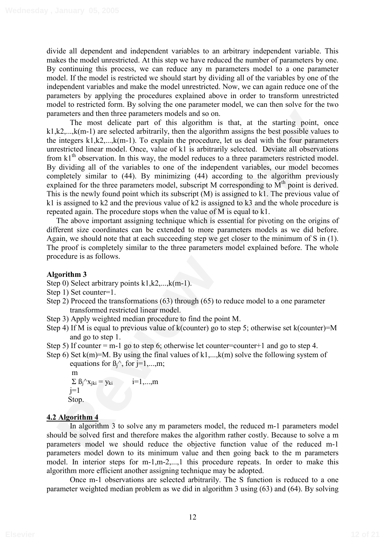divide all dependent and independent variables to an arbitrary independent variable. This makes the model unrestricted. At this step we have reduced the number of parameters by one. By continuing this process, we can reduce any m parameters model to a one parameter model. If the model is restricted we should start by dividing all of the variables by one of the independent variables and make the model unrestricted. Now, we can again reduce one of the parameters by applying the procedures explained above in order to transform unrestricted model to restricted form. By solving the one parameter model, we can then solve for the two parameters and then three parameters models and so on.

menters and then three parameters models and so on.<br>
The most delicate part of this algorithm is that, at the starting point, one<br> **Review Contend and then** the three layerithms is then the starting between the integral t The most delicate part of this algorithm is that, at the starting point, once k1,k2,...,k(m-1) are selected arbitrarily, then the algorithm assigns the best possible values to the integers  $k1, k2, \ldots, k(m-1)$ . To explain the procedure, let us deal with the four parameters unrestricted linear model. Once, value of k1 is arbitrarily selected. Deviate all observations from  $k1<sup>th</sup>$  observation. In this way, the model reduces to a three parameters restricted model. By dividing all of the variables to one of the independent variables, our model becomes completely similar to (44). By minimizing (44) according to the algorithm previously explained for the three parameters model, subscript M corresponding to  $M<sup>th</sup>$  point is derived. This is the newly found point which its subscript (M) is assigned to k1. The previous value of k1 is assigned to k2 and the previous value of k2 is assigned to k3 and the whole procedure is repeated again. The procedure stops when the value of M is equal to k1.

The above important assigning technique which is essential for pivoting on the origins of different size coordinates can be extended to more parameters models as we did before. Again, we should note that at each succeeding step we get closer to the minimum of S in (1). The proof is completely similar to the three parameters model explained before. The whole procedure is as follows.

# **Algorithm 3**

- Step 0) Select arbitrary points k1, k2,..., k(m-1).
- Step 1) Set counter=1.
- Step 2) Proceed the transformations (63) through (65) to reduce model to a one parameter transformed restricted linear model.
- Step 3) Apply weighted median procedure to find the point M.
- Step 4) If M is equal to previous value of k(counter) go to step 5; otherwise set k(counter)=M and go to step 1.
- Step 5) If counter = m-1 go to step 6; otherwise let counter=counter+1 and go to step 4.
- Step 6) Set  $k(m)=M$ . By using the final values of  $k1,...,k(m)$  solve the following system of equations for  $\beta_1^{\wedge}$ , for j=1,...,m;

m  
\n
$$
\sum \beta_j \wedge x_{jki} = y_{ki}
$$
 i=1,...,m  
\nj=1  
\nStop.

# **4.2 Algorithm 4**

In algorithm 3 to solve any m parameters model, the reduced m-1 parameters model should be solved first and therefore makes the algorithm rather costly. Because to solve a m parameters model we should reduce the objective function value of the reduced m-1 parameters model down to its minimum value and then going back to the m parameters model. In interior steps for m-1,m-2,...,1 this procedure repeats. In order to make this algorithm more efficient another assigning technique may be adopted.

Once m-1 observations are selected arbitrarily. The S function is reduced to a one parameter weighted median problem as we did in algorithm 3 using (63) and (64). By solving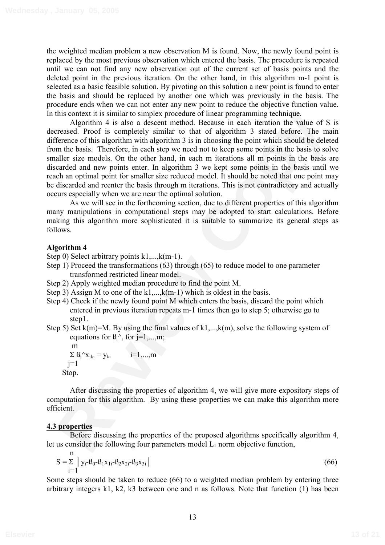the weighted median problem a new observation M is found. Now, the newly found point is replaced by the most previous observation which entered the basis. The procedure is repeated until we can not find any new observation out of the current set of basis points and the deleted point in the previous iteration. On the other hand, in this algorithm m-1 point is selected as a basic feasible solution. By pivoting on this solution a new point is found to enter the basis and should be replaced by another one which was previously in the basis. The procedure ends when we can not enter any new point to reduce the objective function value. In this context it is similar to simplex procedure of linear programming technique.

this context it is simular to simplex procedure of linear programming rechuiges.<br>
Migavithm 4 is also a discount method. Because in each iteration the value of S is<br>
reveale. Proof is completely similar to that of algorit Algorithm 4 is also a descent method. Because in each iteration the value of S is decreased. Proof is completely similar to that of algorithm 3 stated before. The main difference of this algorithm with algorithm 3 is in choosing the point which should be deleted from the basis. Therefore, in each step we need not to keep some points in the basis to solve smaller size models. On the other hand, in each m iterations all m points in the basis are discarded and new points enter. In algorithm 3 we kept some points in the basis until we reach an optimal point for smaller size reduced model. It should be noted that one point may be discarded and reenter the basis through m iterations. This is not contradictory and actually occurs especially when we are near the optimal solution.

As we will see in the forthcoming section, due to different properties of this algorithm many manipulations in computational steps may be adopted to start calculations. Before making this algorithm more sophisticated it is suitable to summarize its general steps as follows.

# **Algorithm 4**

Step 0) Select arbitrary points k1,...,k(m-1).

- Step 1) Proceed the transformations (63) through (65) to reduce model to one parameter transformed restricted linear model.
- Step 2) Apply weighted median procedure to find the point M.
- Step 3) Assign M to one of the  $k1$ ,..., $k(m-1)$  which is oldest in the basis.
- Step 4) Check if the newly found point M which enters the basis, discard the point which entered in previous iteration repeats m-1 times then go to step 5; otherwise go to step1.
- Step 5) Set  $k(m)=M$ . By using the final values of  $k1,...,k(m)$ , solve the following system of equations for  $\beta_i^{\wedge}$ , for  $i=1,...,m$ ;

m  $\Sigma$   $B_j^{\wedge}x_{jki} = y_{ki}$   $i=1,...,m$  $j=1$ Stop.

After discussing the properties of algorithm 4, we will give more expository steps of computation for this algorithm. By using these properties we can make this algorithm more efficient.

# **4.3 properties**

Before discussing the properties of the proposed algorithms specifically algorithm 4, let us consider the following four parameters model  $L_1$  norm objective function,

$$
S = \sum_{i=1}^{n} |y_i - \beta_0 - \beta_1 x_{1i} - \beta_2 x_{2i} - \beta_3 x_{3i}|
$$
 (66)

Some steps should be taken to reduce (66) to a weighted median problem by entering three arbitrary integers k1, k2, k3 between one and n as follows. Note that function (1) has been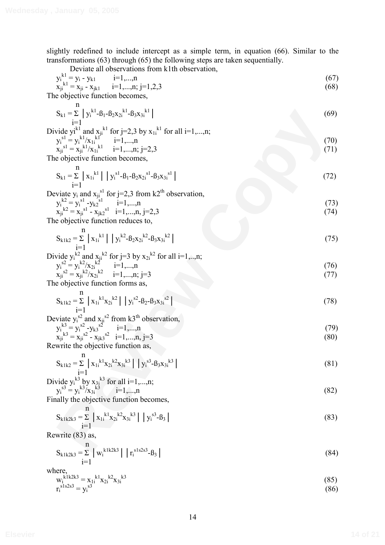slightly redefined to include intercept as a simple term, in equation (66). Similar to the transformations (63) through (65) the following steps are taken sequentially.

Deviate all observations from k1th observation,

y, 
$$
x_1
$$
 b-ven and observation from k in observation,  
\n $x_{jk}^{[k]} = x_{ji} - y_{k1}$  i=1,...,n;  
\n $x_{jk}^{[k]} = x_{ji} - x_{jk1}$  i=1,...,n;  
\n $y_{jk}^{[k]} = x_{ji}^{[k]} - x_{jk1}$  j=1,2,3  
\nThe objective function becomes,  
\n
$$
S_{k1} = \sum_{j} |y_k^{[k]}/x_{1j}^{[k]} = i1,...,n; j=2,3
$$
\n\nThe objective function becomes,  
\n $y_{1j}^{[k]} = y_k^{[k]}/x_{1j}^{[k]} = i1,...,n; j=2,3$   
\nThe objective function becomes,  
\n
$$
S_{k1} = \sum_{j=1}^{n} |x_{1j}^{[k]}| |y_j^{[k]} - B_1 - B_2x_{2j}^{[k]} - B_3x_{3j}^{[k]}|
$$
\n(72)  
\nDeviate y, and  $x_{jj}^{[k]}$  for j=2,3 from k2<sup>th</sup> observation,  
\n
$$
y_{1j}^{[k]} = y_j^{[k]}/x_{1j}^{[k]}
$$
 (Fig. 2,3 from k2<sup>th</sup> observation,  
\n
$$
y_{1j}^{[k]} = y_k^{[k]}/x_{1j}^{[k]} + y_k^{[k]} - B_1x_{2j}^{[k]} - B_2x_{2j}^{[k]} - B_3x_{3j}^{[k]}|
$$
\n(72)  
\nDeviate y, and  $x_{1j}^{[k]}(x_{1j}^{[k]}) = 1,...,n; j=2,3$   
\nThe objective function reduces to,  
\n
$$
S_{k1k2} = \sum_{j=1}^{n} |x_{1j}^{[k]}| |y_{1j}^{[k]} - B_2x_{2j}^{[k]} - B_3x_{3j}^{[k]}|
$$
\n
$$
S_{k1k2} = \sum_{j=1}^{n} |x_{1j}^{[k]}/x_{2j}^{[k]} = i=1,...,n; j=3
$$
\nThe objective function forms as,  
\n
$$
S_{k1k2} = \sum_{j=1}^{n} |x_{1j}^{[k]}/x_{3j}^{[k]} = 1,...,n; j=3
$$

$$
w_i^{k1k2k3} = x_{1i}^{k1} x_{2i}^{k2} x_{3i}^{k3}
$$
  
\n
$$
r_i^{sls2s3} = y_i^{s3}
$$
 (85)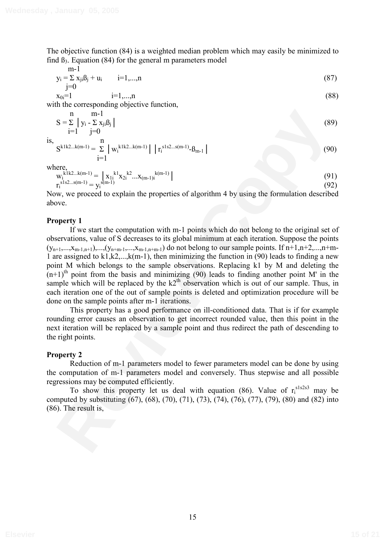The objective function (84) is a weighted median problem which may easily be minimized to find  $\beta_3$ . Equation (84) for the general m parameters model

$$
m-1\n yi = \sum xji \betaj + ui \qquad i=1,...,n\n j=0
$$
\n(87)

$$
x_{0i} = 1 \t i = 1,...,n \t (88)
$$

with the corresponding objective function,

i=1

$$
S = \sum_{i=1}^{n} |y_i - \sum_{j=0}^{m-1} x_{ji} \beta_j|
$$
  
is,  

$$
S^{k1k2...k(m-1)} = \sum_{i=1}^{n} |w_i^{k1k2...k(m-1)}| |r_i^{s1s2...s(m-1)} - \beta_{m-1}|
$$
 (90)

where

$$
w_i^{k1k2...k(m-1)} = \n\begin{cases} \n x_{1i}^{k1} x_{2i}^{k2} \dots x_{(m-1)i}^{k(m-1)} \n\end{cases}
$$
\n(91)\n
$$
r_i^{s1s2...s(m-1)} = y_i^{s(m-1)}
$$
\n(92)

Now, we proceed to explain the properties of algorithm 4 by using the formulation described above.

### **Property 1**

S =  $\sum_{i=1}^{n} |y_i \cdot \sum_{i \neq j} x_i \beta_i|$  (89)<br>
S =  $\sum_{i=1}^{n} |y_i \cdot \sum_{i \neq j} x_i \beta_i|$  (99)<br>
S<sup>k112 1(m-1)</sup> =  $\sum_{i=1}^{n} |w_i^{(1/2..k(n-1))} |t_i^{(1/2..k(n-1)} \beta_{0n-1}|$ <br>
(91)<br>
W<sub>N</sub> is  $2\pi$ (n-1)<br>
(92)<br>
Copy), we proceed to explain the pr If we start the computation with m-1 points which do not belong to the original set of observations, value of S decreases to its global minimum at each iteration. Suppose the points  $(y_{n+1},...,x_{m-1,n+1}),..., (y_{n+m-1},...,x_{m-1,n+m-1})$  do not belong to our sample points. If  $n+1,n+2,...,n+m-1$ 1 are assigned to k1,k2,...,k(m-1), then minimizing the function in  $(90)$  leads to finding a new point M which belongs to the sample observations. Replacing k1 by M and deleting the  $(n+1)$ <sup>th</sup> point from the basis and minimizing (90) leads to finding another point M' in the sample which will be replaced by the  $k2<sup>th</sup>$  observation which is out of our sample. Thus, in each iteration one of the out of sample points is deleted and optimization procedure will be done on the sample points after m-1 iterations.

This property has a good performance on ill-conditioned data. That is if for example rounding error causes an observation to get incorrect rounded value, then this point in the next iteration will be replaced by a sample point and thus redirect the path of descending to the right points.

#### **Property 2**

Reduction of m-1 parameters model to fewer parameters model can be done by using the computation of m-1 parameters model and conversely. Thus stepwise and all possible regressions may be computed efficiently.

To show this property let us deal with equation  $(86)$ . Value of  $r_i^{sls2s3}$  may be computed by substituting (67), (68), (70), (71), (73), (74), (76), (77), (79), (80) and (82) into (86). The result is,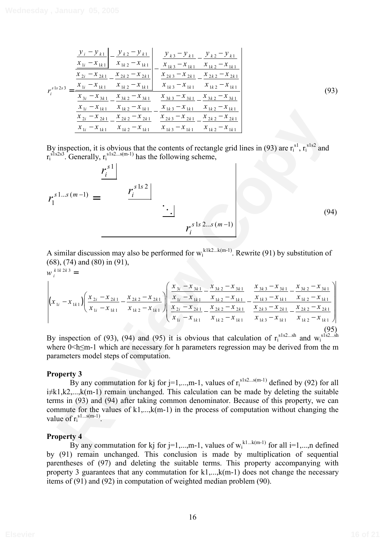| $r_s^{s \lg 2s \lg 3}$ | $y_i - y_{k1}$ $y_{k2} - y_{k1}$<br>$x_{1i} - x_{1k1}$ $x_{1k2} - x_{1k1}$<br>$x_{2i} - x_{2k1}$ $x_{2k2} - x_{2k1}$<br>$x_{1i} - x_{1k1}$ $x_{1k2} - x_{1k1}$ | $y_{k3} - y_{k1}$ $y_{k2} - y_{k1}$<br>$x_{1k} - x_{1k1}$ $x_{1k2} - x_{1k1}$<br>$x_{2k3} - x_{2k1}$ $x_{2k2} - x_{2k1}$<br>$x_{1k3} - x_{1k1}$ $x_{1k2} - x_{1k1}$ |      |
|------------------------|----------------------------------------------------------------------------------------------------------------------------------------------------------------|---------------------------------------------------------------------------------------------------------------------------------------------------------------------|------|
|                        | $x_{3i} - x_{3k1}$ $x_{3k2} - x_{3k1}$                                                                                                                         | $x_{3k3} - x_{3k1}$ $x_{3k2} - x_{3k1}$<br>$x_{1i} - x_{1k1}$ $x_{1k2} - x_{1k1}$ $x_{1k3} - x_{1k1}$ $x_{1k2} - x_{1k1}$                                           | (93) |
|                        | $x_{2i} - x_{2k1}$ $x_{2k2} - x_{2k1}$<br>$x_{1i} - x_{1k1}$<br>$x_{1k2} - x_{1k1}$                                                                            | $x_{2k3} - x_{2k1}$ $x_{2k2} - x_{2k1}$<br>$x_{1k} - x_{1k1}$ $x_{1k2} - x_{1k1}$                                                                                   |      |

By inspection, it is obvious that the contents of rectangle grid lines in (93) are  $r_i^{sl}$ ,  $r_i^{sls2}$  and  $r_i^{\text{sls2s3}}$ . Generally,  $r_i^{\text{sls2...s(m-1)}}$  has the following scheme,

$$
\frac{x_{2i} - x_{2k1}}{x_{1i} - x_{1k1}} - \frac{x_{2k2} - x_{2k1}}{x_{1k2} - x_{1k1}} - \frac{x_{2k3} - x_{2k1}}{x_{1k3} - x_{1k1}} - \frac{x_{2k2} - x_{2k1}}{x_{1k3} - x_{1k1}} - \frac{x_{1k2} - x_{2k1}}{x_{1k3} - x_{1k1}} = 0
$$
\nBy inspection, it is obvious that the contents of rectangle grid lines in (93) are  $r_1^{s1}, r_1^{s1s2}$  and  $r_1^{s1s2s3}$ . Generally,  $r_1^{s1s2}$  and  $r_1^{s1s2s3} = \frac{r_1^{s1}}{r}$  (94)  
\n
$$
r_1^{s1...s(m-1)} = \frac{r_1^{s1s2}}{x_1^{s1s2}} - \frac{1}{x_{1k1}} - \frac{1}{x_{1k2}} - \frac{1}{x_{1k1}} - \frac{1}{x_{1k2}} - \frac{1}{x_{1k1}} - \frac{1}{x_{1k2}} - \frac{1}{x_{1k1}} - \frac{1}{x_{1k2}} - \frac{1}{x_{1k1}} - \frac{1}{x_{1k2}} - \frac{1}{x_{1k1}} - \frac{1}{x_{1k2}} - \frac{1}{x_{1k1}} - \frac{1}{x_{1k2}} - \frac{1}{x_{1k1}} - \frac{1}{x_{1k2}} - \frac{1}{x_{1k1}} - \frac{1}{x_{1k2}} - \frac{1}{x_{1k1}} - \frac{1}{x_{1k2}} - \frac{1}{x_{1k1}} - \frac{1}{x_{1k2}} - \frac{1}{x_{1k1}} - \frac{1}{x_{1k2}} - \frac{1}{x_{1k1}} - \frac{1}{x_{1k2}} - \frac{1}{x_{1k1}} - \frac{1}{x_{1k2}} - \frac{1}{x_{1k1}} - \frac{1}{x_{1k2}} - \frac{1}{x_{1k1}} - \frac{1}{x_{1k2}} - \frac{1}{x_{1k1}} - \frac{1}{x_{1k2}} - \frac{1}{x_{1k1}} - \frac{1}{x_{1k2}} - \frac{1}{x_{1k1}} - \frac{1}{x_{1k2}} -
$$

A similar discussion may also be performed for  $w_i^{klk2...k(m-1)}$ . Rewrite (91) by substitution of (68), (74) and (80) in (91),

$$
w_{i}^{k1k2k3} = \left| \left( x_{1i} - x_{1k1} \right) \left( \frac{x_{2i} - x_{2k1}}{x_{1i} - x_{1k1}} - \frac{x_{2k2} - x_{2k1}}{x_{1k2} - x_{1k1}} \right) \left( \frac{x_{3i} - x_{3k1}}{x_{2i} - x_{2k1}} - \frac{x_{3k2} - x_{3k1}}{x_{1k2} - x_{1k1}} - \frac{x_{3k3} - x_{3k1}}{x_{1k3} - x_{1k1}} - \frac{x_{3k2} - x_{3k1}}{x_{1k2} - x_{1k1}} \right) \right|
$$
  
\n
$$
\left| \frac{x_{2i} - x_{2k1}}{x_{1i} - x_{1k1}} - \frac{x_{2k2} - x_{2k1}}{x_{2i} - x_{2k1}} - \frac{x_{2k2} - x_{2k1}}{x_{2k3} - x_{2k1}} - \frac{x_{2k3} - x_{2k1}}{x_{1k3} - x_{1k1}} - \frac{x_{2k2} - x_{2k1}}{x_{1k2} - x_{1k1}} \right) \right|
$$
  
\n(95)

By inspection of (93), (94) and (95) it is obvious that calculation of  $r_i^{sls2...sh}$  and  $w_i^{sls2...sh}$ where  $0 \le h \le m-1$  which are necessary for h parameters regression may be derived from the m parameters model steps of computation.

#### **Property 3**

By any commutation for kj for j=1,...,m-1, values of  $r_i^{\text{sls2...s(m-1)}}$  defined by (92) for all  $i\neq k1,k2,...,k(m-1)$  remain unchanged. This calculation can be made by deleting the suitable terms in (93) and (94) after taking common denominator. Because of this property, we can commute for the values of  $k1$ ,..., $k(m-1)$  in the process of computation without changing the value of  $r_i^{\text{sl...s(m-1)}}$ .

#### **Property 4**

By any commutation for kj for j=1,...,m-1, values of  $w_i^{kl...k(m-1)}$  for all i=1,...,n defined by (91) remain unchanged. This conclusion is made by multiplication of sequential parentheses of (97) and deleting the suitable terms. This property accompanying with property 3 guarantees that any commutation for k1,...,k(m-1) does not change the necessary items of (91) and (92) in computation of weighted median problem (90).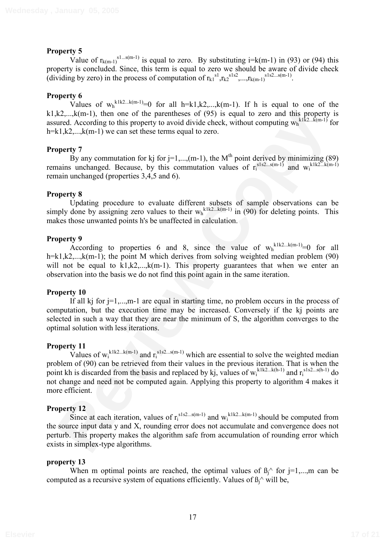# **Property 5**

Value of  $r_{k(m-1)}^{s_1...s(m-1)}$  is equal to zero. By substituting i=k(m-1) in (93) or (94) this property is concluded. Since, this term is equal to zero we should be aware of divide check (dividing by zero) in the process of computation of  $r_{k1}^{s1}, r_{k2}^{s1s2}, \ldots, r_{k(m-1)}^{s1s2\ldots s(m-1)}$ .

# **Property 6**

Values of  $w_h^{k1k2...k(m-1)}=0$  for all h=k1,k2,...,k(m-1). If h is equal to one of the  $k1, k2, \ldots, k(m-1)$ , then one of the parentheses of (95) is equal to zero and this property is assured. According to this property to avoid divide check, without computing  $w_h^{k1k2...k(m-1)}$  for h=k1,k2,..., $k(m-1)$  we can set these terms equal to zero.

## **Property 7**

By any commutation for kj for j=1,...,(m-1), the  $M<sup>th</sup>$  point derived by minimizing (89) remains unchanged. Because, by this commutation values of  $r_i^{sls2...s(m-1)}$  and  $w_i^{klk2...k(m-1)}$ remain unchanged (properties 3,4,5 and 6).

# **Property 8**

Updating procedure to evaluate different subsets of sample observations can be simply done by assigning zero values to their  $w_h^{k1k2...k(m-1)}$  in (90) for deleting points. This makes those unwanted points h's be unaffected in calculation.

# **Property 9**

According to properties 6 and 8, since the value of  $w_h^{k1k2...k(m-1)}=0$  for all h=k1,k2,...,k(m-1); the point M which derives from solving weighted median problem  $(90)$ will not be equal to k1,k2,...,k(m-1). This property guarantees that when we enter an observation into the basis we do not find this point again in the same iteration.

## **Property 10**

If all kj for  $j=1,...,m-1$  are equal in starting time, no problem occurs in the process of computation, but the execution time may be increased. Conversely if the kj points are selected in such a way that they are near the minimum of S, the algorithm converges to the optimal solution with less iterations.

## **Property 11**

 $R_{\text{2,...,k}}^2$ , lem-no of the parenthees of (95) is equal to zero and this property is<br>ured. According to his property to avoid divide check, without computing  $w_b^{\text{block}}$ .  $R_{\text{max}}^2$ ,  $R_{\text{max}}^2$ ,  $R_{\text{max}}^2$ ,  $R_{\text{max}}^2$ Values of  $w_i^{klk2...k(m-1)}$  and  $r_i^{sls2...s(m-1)}$  which are essential to solve the weighted median problem of (90) can be retrieved from their values in the previous iteration. That is when the point kh is discarded from the basis and replaced by kj, values of  $w_i^{klk2...k(h-1)}$  and  $r_i^{sls2...s(h-1)}$  do not change and need not be computed again. Applying this property to algorithm 4 makes it more efficient.

## **Property 12**

Since at each iteration, values of  $r_i^{sls2...s(m-1)}$  and  $w_i^{klk2...k(m-1)}$  should be computed from the source input data y and X, rounding error does not accumulate and convergence does not perturb. This property makes the algorithm safe from accumulation of rounding error which exists in simplex-type algorithms.

## **property 13**

When m optimal points are reached, the optimal values of  $\beta_1^{\wedge}$  for j=1,...,m can be computed as a recursive system of equations efficiently. Values of  $\beta_i^{\wedge}$  will be,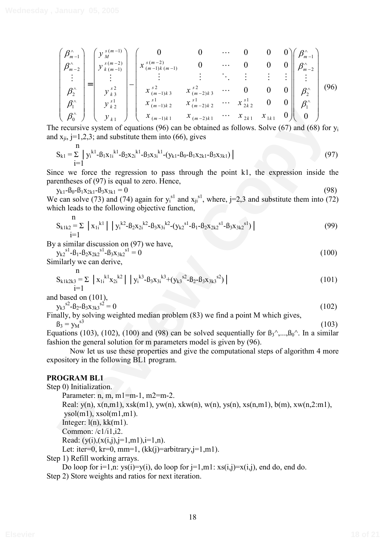$$
\begin{pmatrix}\n\beta_{m-1}^{\wedge} \\
\beta_{m-2}^{\wedge} \\
\vdots \\
\beta_{2}^{\wedge} \\
\beta_{1}^{\wedge} \\
\beta_{0}^{\wedge}\n\end{pmatrix} = \begin{pmatrix}\ny_{M}^{s(m-1)} \\
y_{k(m-1)}^{s(m-2)} \\
\vdots \\
y_{k3}^{s2} \\
y_{k2}^{s1} \\
\vdots \\
y_{k1}^{s1}\n\end{pmatrix} - \begin{pmatrix}\n0 & 0 & \cdots & 0 & 0 & 0 \\
x_{(m-1)k(m-1)}^{s(m-2)} & 0 & \cdots & 0 & 0 & 0 \\
\vdots & \vdots & \ddots & \vdots & \vdots & \vdots \\
x_{(m-1)k3}^{s1} & x_{(m-2)k3}^{s2} & \cdots & 0 & 0 & 0 \\
x_{(m-1)k2}^{s1} & x_{(m-2)k2}^{s1} & \cdots & 0 & 0 & 0 \\
x_{(m-1)k1}^{s1} & x_{(m-2)k1}^{s1} & \cdots & x_{2k1}^{s1} & x_{1k1} & 0\n\end{pmatrix} \begin{pmatrix}\n\beta_{m-1}^{\wedge} \\
\beta_{m-2}^{\wedge} \\
\vdots \\
\beta_{1}^{\wedge} \\
\beta_{1}^{\wedge} \\
\vdots \\
0\n\end{pmatrix}
$$
\n(96)

The recursive system of equations (96) can be obtained as follows. Solve (67) and (68) for yi and  $x_{ji}$ , j=1,2,3; and substitute them into (66), gives

$$
S_{k1} = \sum_{i=1}^{n} y_i^{k1} - \beta_1 x_{1i}^{k1} - \beta_2 x_{2i}^{k1} - \beta_3 x_{3i}^{k1} - (y_{k1} - \beta_0 - \beta_1 x_{2k1} - \beta_3 x_{3k1})
$$
 (97)

Since we force the regression to pass through the point k1, the expression inside the parentheses of (97) is equal to zero. Hence,

 $y_{k1} - \beta_0 - \beta_1 x_{2k1} - \beta_3 x_{3k1} = 0$  (98) We can solve (73) and (74) again for  $y_i^{s1}$  and  $x_{ji}^{s1}$ , where, j=2,3 and substitute them into (72) which leads to the following objective function,

$$
S_{k1k2} = \sum |x_{1i}^{k1}| |y_i^{k2} - B_2x_{2i}^{k2} - B_3x_{3i}^{k2} - (y_{k2}^{s1} - B_1 - B_2x_{2k2}^{s1} - B_3x_{3k2}^{s1}) |
$$
\n(99)

By a similar discussion on (97) we have,

$$
y_{k2}^{s1} - \beta_1 - \beta_2 x_{2k2}^{s1} - \beta_3 x_{3k2}^{s1} = 0
$$
 (100)

Similarly we can derive,

$$
S_{k1k2k3} = \sum_{i=1}^{n} |x_{1i}^{k1}x_{2i}^{k2}| |y_i^{k3} - B_3x_{3i}^{k3} + (y_{k3}^{s2} - B_2 - B_3x_{3k3}^{s2}) |
$$
\n(101)

and based on (101),

n

$$
22^{\circ}
$$

 $y_{k3}$ <sup>s2</sup>-B<sub>2</sub>-B<sub>3</sub>x<sub>3k3</sub>  $s^2 = 0$  (102) Finally, by solving weighted median problem (83) we find a point M which gives,  $\beta_3 = v_M^{s3}$  $\frac{1}{s^3}$  (103)

Equations (103), (102), (100) and (98) can be solved sequentially for  $B_3^{\prime\prime},...,B_0^{\prime\prime}$ . In a similar fashion the general solution for m parameters model is given by (96).

Now let us use these properties and give the computational steps of algorithm 4 more expository in the following BL1 program.

#### **PROGRAM BL1**

 $\left[\begin{array}{c} \beta_0^c \end{array}\right] \left[\begin{array}{c} y_{11} \end{array}\right] \left[\begin{array}{c} x_{01} \end{array}\right] \left[\begin{array}{c} x_{00} \end{array}\right] \left[\begin{array}{c} x_{00} \end{array}\right] \left[\begin{array}{c} x_{00} \end{array}\right] \left[\begin{array}{c} x_{00} \end{array}\right] \left[\begin{array}{c} 0 \end{array}\right]$ <br>  $\left[\begin{array}{c} x_{01} \end{array}\right] \left[\begin{array}{c} x_{00} \end{array}\right] \left[\begin{array}{c$ Step 0) Initialization. Parameter: n, m, m1=m-1, m2=m-2. Real:  $y(n)$ ,  $x(n,m1)$ ,  $xsk(m1)$ ,  $yw(n)$ ,  $xkw(n)$ ,  $w(n)$ ,  $ys(n)$ ,  $xs(n,m1)$ ,  $b(m)$ ,  $xw(n,2:m1)$ ,  $y\text{sol}(m1)$ ,  $x\text{sol}(m1,m1)$ . Integer:  $l(n)$ ,  $kk(m1)$ . Common: /c1/i1,i2. Read:  $(y(i), (x(i,j), j=1, m1), i=1, n)$ . Let: iter=0,  $kr=0$ ,  $mm=1$ ,  $(kk(i)=arbitrary, j=1, m1)$ . Step 1) Refill working arrays.

Do loop for  $i=1, n$ :  $ys(i)=y(i)$ , do loop for  $i=1, m$ 1:  $xs(i,j)=x(i,j)$ , end do, end do. Step 2) Store weights and ratios for next iteration.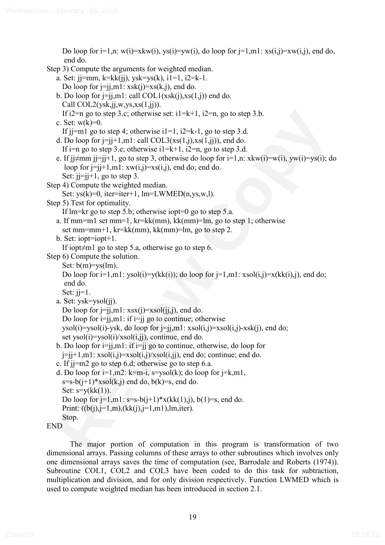If  $2\pi m_2$  to step 3.c; otherwise set:  $i = k + 1$ ,  $i2\pi n$ , go to step 3.b.<br> **C.** Set: w(k)=0.<br>
L b) =  $\pi m_2$  go to step 3.c; observation  $i = 1$ ,  $2k - k$ , go to step 3.d.<br>
I. b) = one of  $\pi$  in  $i = 1$ , and  $\pi$  (b) =  $k =$ Do loop for  $i=1, n$ : w(i)=xkw(i), ys(i)=yw(i), do loop for  $i=1, m1$ : xs(i,j)=xw(i,j), end do, end do. Step 3) Compute the arguments for weighted median. a. Set: j $j=mm$ , k=kk(jj), ysk=ys(k), i1=1, i2=k-1. Do loop for  $j=j,ml: xsk(j)=xs(k,j)$ , end do. b. Do loop for  $j=j,ml$ : call  $COL1(xsk(j),xs(1,j))$  end do. Call  $COL2(vsk,ji,w,vs,xs(1,ji))$ . If i2=n go to step 3.c; otherwise set:  $i1=k+1$ ,  $i2=n$ , go to step 3.b. c. Set:  $w(k)=0$ . If  $i=1$  go to step 4; otherwise  $i=1$ ,  $i=2=k-1$ , go to step 3.d. d. Do loop for  $j=j+1,m1$ : call  $COL3(xs(1,j),xs(1,j))$ , end do. If i=n go to step 3.e; otherwise  $i=1=k+1$ ,  $i=2=n$ , go to step 3.d. e. If j $\frac{1}{2}$ mm j $\frac{1}{2}$ j+1, go to step 3, otherwise do loop for  $i=1,n$ : xkw(i)=w(i), yw(i)=ys(i); do loop for  $j=j+1,m1: xw(i,j)=xs(i,j)$ , end do; end do. Set:  $i = i + 1$ , go to step 3. Step 4) Compute the weighted median. Set:  $ys(k)=0$ , iter=iter+1, lm=LWMED(n,ys,w,l). Step 5) Test for optimality. If lm=kr go to step 5.b; otherwise iopt=0 go to step 5.a. a. If mm=m1 set mm=1, kr=kk(mm), kk(mm)=lm, go to step 1; otherwise set mm=mm+1, kr=kk(mm), kk(mm)=lm, go to step 2. b. Set: iopt=iopt+1. If iopt $\neq$ m1 go to step 5.a, otherwise go to step 6. Step 6) Compute the solution. Set:  $b(m)=vs(lm)$ . Do loop for  $i=1,m1$ : ysol $(i)=y(kk(i))$ ; do loop for  $j=1,m1$ : xsol $(i,j)=x(kk(i),j)$ , end do; end do. Set:  $i = 1$ . a. Set: ysk=ysol(jj). Do loop for  $j=j,ml: xsx(j)=xsol(jj,j)$ , end do. Do loop for  $i=j,ml$ : if  $i=ji$  go to continue; otherwise ysol(i)=ysol(i)-ysk, do loop for  $j=j, m1$ : xsol(i,j)=xsol(i,j)-xsk(j), end do; set  $ysol(i)=ysol(i)/xsol(i,ji)$ , continue, end do. b. Do loop for  $i=j, m1$ : if  $i=j$  go to continue, otherwise, do loop for  $j=j+1,m1: xsol(i,j)=xsol(i,j)/xsol(i,jj), end do; continue; end do.$ c. If jj=m2 go to step 6.d; otherwise go to step 6.a. d. Do loop for  $i=1,m2$ : k=m-i, s=ysol(k); do loop for  $i=k,m1$ ,  $s=s-b(i+1)*xsol(k,i)$  end do,  $b(k)=s$ , end do. Set:  $s=y(kk(1))$ . Do loop for  $j=1, m1: s=s-b(j+1)*x(kk(1),j)$ ,  $b(1)=s$ , end do. Print:  $((b(i), i=1, m), (kk(i), i=1, m1), lm, iter)$ . Stop.



The major portion of computation in this program is transformation of two dimensional arrays. Passing columns of these arrays to other subroutines which involves only one dimensional arrays saves the time of computation (see, Barrodale and Roberts (1974)). Subroutine COL1, COL2 and COL3 have been coded to do this task for subtraction, multiplication and division, and for only division respectively. Function LWMED which is used to compute weighted median has been introduced in section 2.1.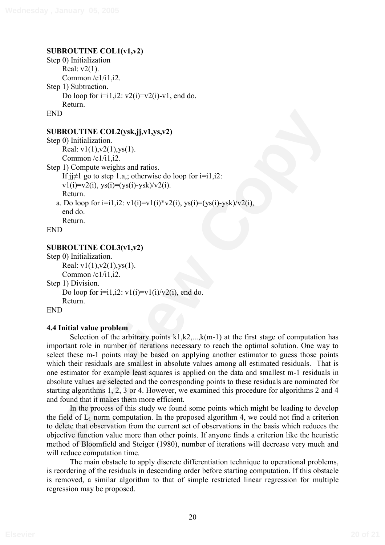# **SUBROUTINE COL1(v1,v2)**

```
Step 0) Initialization 
     Real: v2(1). 
     Common /c1/i1,i2. 
Step 1) Subtraction. 
     Do loop for i=i1,i2: v2(i)=v2(i)-v1, end do.
     Return. 
END
```
# **SUBROUTINE COL2(ysk,jj,v1,ys,v2)**

```
Step 0) Initialization. 
     Real: v1(1), v2(1), v5(1).
     Common /c1/i1,i2.
Step 1) Compute weights and ratios. 
     If i \neq 1 go to step 1.a,; otherwise do loop for i=i1,i2:
     v1(i)=v2(i), vs(i)=(vs(i)-vsk)/v2(i).
     Return. 
   a. Do loop for i=i1,i2: v1(i)=v1(i)*v2(i), vs(i)=(vs(i)-vsk)/v2(i),
     end do. 
     Return. 
END
```
# **SUBROUTINE COL3(v1,v2)**

Step 0) Initialization. Real:  $v1(1), v2(1), v5(1)$ . Common  $/c1/i1,i2$ . Step 1) Division. Do loop for  $i=i1,i2$ :  $v1(i)=v1(i)/v2(i)$ , end do. Return. END

## **4.4 Initial value problem**

**FOREO COLOCAL EXECTS**<br> **Real:**  $\mathbf{v}(1)/2(1)_{38}(1)$ .<br> **Real:**  $\mathbf{v}(1)/2(1)_{38}(1)$ .<br>
Common (21/1, 12).<br> **Review Copyrights and ratios.**<br> **PUSITE ASSES (EXECTS)**<br> **PUSITE ASSES** (**Ref)**<br> **REGULATION REGULATION CODE (** Selection of the arbitrary points  $k1, k2, \ldots, k(m-1)$  at the first stage of computation has important role in number of iterations necessary to reach the optimal solution. One way to select these m-1 points may be based on applying another estimator to guess those points which their residuals are smallest in absolute values among all estimated residuals. That is one estimator for example least squares is applied on the data and smallest m-1 residuals in absolute values are selected and the corresponding points to these residuals are nominated for starting algorithms 1, 2, 3 or 4. However, we examined this procedure for algorithms 2 and 4 and found that it makes them more efficient.

In the process of this study we found some points which might be leading to develop the field of  $L_1$  norm computation. In the proposed algorithm 4, we could not find a criterion to delete that observation from the current set of observations in the basis which reduces the objective function value more than other points. If anyone finds a criterion like the heuristic method of Bloomfield and Steiger (1980), number of iterations will decrease very much and will reduce computation time.

The main obstacle to apply discrete differentiation technique to operational problems, is reordering of the residuals in descending order before starting computation. If this obstacle is removed, a similar algorithm to that of simple restricted linear regression for multiple regression may be proposed.